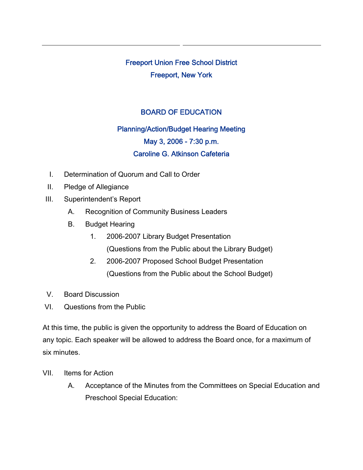Freeport Union Free School District Freeport, New York

## BOARD OF EDUCATION

## Planning/Action/Budget Hearing Meeting May 3, 2006 - 7:30 p.m. Caroline G. Atkinson Cafeteria

- I. Determination of Quorum and Call to Order
- II. Pledge of Allegiance
- III. Superintendent's Report
	- A. Recognition of Community Business Leaders
	- B. Budget Hearing
		- 1. 2006-2007 Library Budget Presentation (Questions from the Public about the Library Budget)
		- 2. 2006-2007 Proposed School Budget Presentation (Questions from the Public about the School Budget)
- V. Board Discussion
- VI. Questions from the Public

At this time, the public is given the opportunity to address the Board of Education on any topic. Each speaker will be allowed to address the Board once, for a maximum of six minutes.

- VII. Items for Action
	- A. Acceptance of the Minutes from the Committees on Special Education and Preschool Special Education: